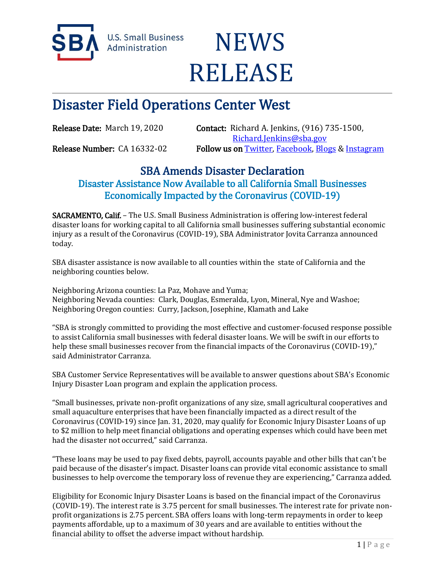

**U.S. Small Business** Administration

## **NEWS** RELEASE

## Disaster Field Operations Center West

Release Date: March 19, 2020 Contact: Richard A. Jenkins, (916) 735-1500, [Richard.Jenkins@sba.gov](mailto:Richard.Jenkins@sba.gov)  Release Number: CA 16332-02 Follow us o[n Twitter,](http://www.twitter.com/SBAgov) [Facebook,](http://www.facebook.com/sbagov) [Blogs](http://www.sba.gov/blogs) & Instagram

## SBA Amends Disaster Declaration

Disaster Assistance Now Available to all California Small Businesses Economically Impacted by the Coronavirus (COVID-19)

SACRAMENTO, Calif. – The U.S. Small Business Administration is offering low-interest federal disaster loans for working capital to all California small businesses suffering substantial economic injury as a result of the Coronavirus (COVID-19), SBA Administrator Jovita Carranza announced today.

SBA disaster assistance is now available to all counties within the state of California and the neighboring counties below.

Neighboring Arizona counties: La Paz, Mohave and Yuma; Neighboring Nevada counties: Clark, Douglas, Esmeralda, Lyon, Mineral, Nye and Washoe; Neighboring Oregon counties: Curry, Jackson, Josephine, Klamath and Lake

"SBA is strongly committed to providing the most effective and customer-focused response possible to assist California small businesses with federal disaster loans. We will be swift in our efforts to help these small businesses recover from the financial impacts of the Coronavirus (COVID-19)," said Administrator Carranza.

SBA Customer Service Representatives will be available to answer questions about SBA's Economic Injury Disaster Loan program and explain the application process.

"Small businesses, private non-profit organizations of any size, small agricultural cooperatives and small aquaculture enterprises that have been financially impacted as a direct result of the Coronavirus (COVID-19) since Jan. 31, 2020, may qualify for Economic Injury Disaster Loans of up to \$2 million to help meet financial obligations and operating expenses which could have been met had the disaster not occurred," said Carranza.

"These loans may be used to pay fixed debts, payroll, accounts payable and other bills that can't be paid because of the disaster's impact. Disaster loans can provide vital economic assistance to small businesses to help overcome the temporary loss of revenue they are experiencing," Carranza added.

Eligibility for Economic Injury Disaster Loans is based on the financial impact of the Coronavirus (COVID-19). The interest rate is 3.75 percent for small businesses. The interest rate for private nonprofit organizations is 2.75 percent. SBA offers loans with long-term repayments in order to keep payments affordable, up to a maximum of 30 years and are available to entities without the financial ability to offset the adverse impact without hardship.